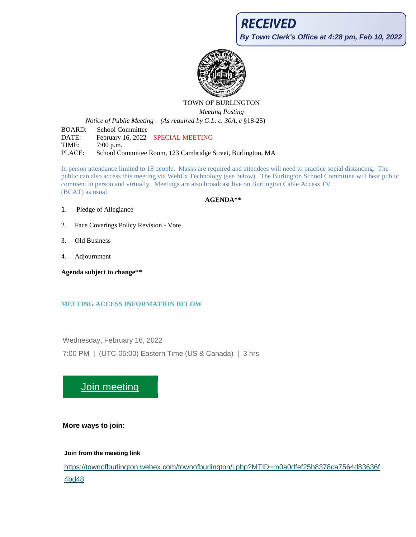# **RECEIVED By Town Clerk's Office at 4:28 pm, Feb 10, 2022**



### TOWN OF BURLINGTON

*Meeting Posting*

*Notice of Public Meeting – (As required by G.L. c. 30A, c* §18-25)

BOARD: School Committee DATE: February 16, 2022 - SPECIAL MEETING TIME: 7:00 p.m. PLACE: School Committee Room, 123 Cambridge Street, Burlington, MA

In person attendance limited to 18 people. Masks are required and attendees will need to practice social distancing. The public can also access this meeting via WebEx Technology (see below). The Burlington School Committee will hear public comment in person and virtually. Meetings are also broadcast live on Burlington Cable Access TV (BCAT) as usual.

### **AGENDA\*\***

- 1. Pledge of Allegiance
- 2. Face Coverings Policy Revision Vote
- 3. Old Business
- 4. Adjournment

**Agenda subject to change\*\***

### **MEETING ACCESS INFORMATION BELOW**

Wednesday, February 16, 2022 7:00 PM | (UTC-05:00) Eastern Time (US & Canada) | 3 hrs

## [Join meeting](https://townofburlington.webex.com/townofburlington/j.php?MTID=m0a0dfef25b8378ca7564d83636f4bd48)

**More ways to join:**

**Join from the meeting link**

[https://townofburlington.webex.com/townofburlington/j.php?MTID=m0a0dfef25b8378ca7564d83636f](https://townofburlington.webex.com/townofburlington/j.php?MTID=m0a0dfef25b8378ca7564d83636f4bd48) [4bd48](https://townofburlington.webex.com/townofburlington/j.php?MTID=m0a0dfef25b8378ca7564d83636f4bd48)